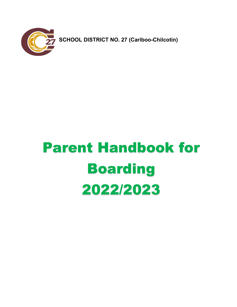

**SCHOOL DISTRICT NO. 27 (Cariboo-Chilcotin)**

# Parent Handbook for Boarding 2022/2023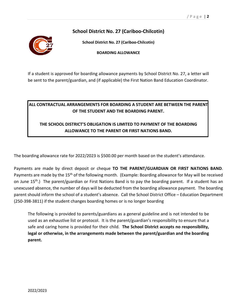## **School District No. 27 (Cariboo-Chilcotin)**



**School District No. 27 (Cariboo-Chilcotin)**

**BOARDING ALLOWANCE**

If a student is approved for boarding allowance payments by School District No. 27, a letter will be sent to the parent/guardian, and (if applicable) the First Nation Band Education Coordinator.

## **ALL CONTRACTUAL ARRANGEMENTS FOR BOARDING A STUDENT ARE BETWEEN THE PARENT OF THE STUDENT AND THE BOARDING PARENT.**

## **THE SCHOOL DISTRICT'S OBLIGATION IS LIMITED TO PAYMENT OF THE BOARDING ALLOWANCE TO THE PARENT OR FIRST NATIONS BAND.**

The boarding allowance rate for 2022/2023 is \$500.00 per month based on the student's attendance.

Payments are made by direct deposit or cheque **TO THE PARENT/GUARDIAN OR FIRST NATIONS BAND**. Payments are made by the 15<sup>th</sup> of the following month. (Example: Boarding allowance for May will be received on June 15<sup>th</sup>.) The parent/guardian or First Nations Band is to pay the boarding parent. If a student has an unexcused absence, the number of days will be deducted from the boarding allowance payment. The boarding parent should inform the school of a student's absence. Call the School District Office – Education Department (250-398-3811) if the student changes boarding homes or is no longer boarding

The following is provided to parents/guardians as a general guideline and is not intended to be used as an exhaustive list or protocol. It is the parent/guardian's responsibility to ensure that a safe and caring home is provided for their child. **The School District accepts no responsibility, legal or otherwise, in the arrangements made between the parent/guardian and the boarding parent.**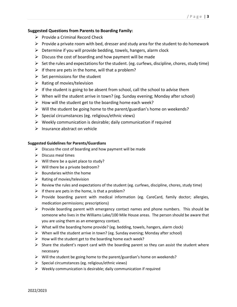#### **Suggested Questions from Parents to Boarding Family:**

- $\triangleright$  Provide a Criminal Record Check
- $\triangleright$  Provide a private room with bed, dresser and study area for the student to do homework
- $\triangleright$  Determine if you will provide bedding, towels, hangers, alarm clock
- $\triangleright$  Discuss the cost of boarding and how payment will be made
- $\triangleright$  Set the rules and expectations for the student. (eg. curfews, discipline, chores, study time)
- $\triangleright$  If there are pets in the home, will that a problem?
- $\triangleright$  Set permissions for the student
- $\triangleright$  Rating of movies/television
- $\triangleright$  If the student is going to be absent from school, call the school to advise them
- $\triangleright$  When will the student arrive in town? (eg. Sunday evening; Monday after school)
- $\triangleright$  How will the student get to the boarding home each week?
- $\triangleright$  Will the student be going home to the parent/guardian's home on weekends?
- $\triangleright$  Special circumstances (eg. religious/ethnic views)
- $\triangleright$  Weekly communication is desirable; daily communication if required
- $\triangleright$  Insurance abstract on vehicle

#### **Suggested Guidelines for Parents/Guardians**

- $\triangleright$  Discuss the cost of boarding and how payment will be made
- $\triangleright$  Discuss meal times
- $\triangleright$  Will there be a quiet place to study?
- $\triangleright$  Will there be a private bedroom?
- $\triangleright$  Boundaries within the home
- $\triangleright$  Rating of movies/television
- $\triangleright$  Review the rules and expectations of the student (eg. curfews, discipline, chores, study time)
- $\triangleright$  If there are pets in the home, is that a problem?
- $\triangleright$  Provide boarding parent with medical information (eg. CareCard, family doctor; allergies, medication permissions; prescriptions)
- $\triangleright$  Provide boarding parent with emergency contact names and phone numbers. This should be someone who lives in the Williams Lake/100 Mile House areas. The person should be aware that you are using them as an emergency contact.
- $\triangleright$  What will the boarding home provide? (eg. bedding, towels, hangers, alarm clock)
- $\triangleright$  When will the student arrive in town? (eg. Sunday evening; Monday after school)
- $\triangleright$  How will the student get to the boarding home each week?
- $\triangleright$  Share the student's report card with the boarding parent so they can assist the student where necessary
- $\triangleright$  Will the student be going home to the parent/guardian's home on weekends?
- $\triangleright$  Special circumstances (eg. religious/ethnic views)
- $\triangleright$  Weekly communication is desirable; daily communication if required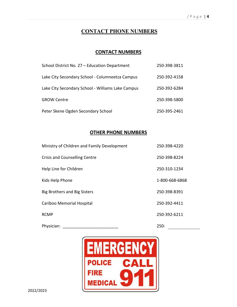## **CONTACT PHONE NUMBERS**

## **CONTACT NUMBERS**

| School District No. 27 - Education Department     | 250-398-3811 |
|---------------------------------------------------|--------------|
| Lake City Secondary School - Columneetza Campus   | 250-392-4158 |
| Lake City Secondary School - Williams Lake Campus | 250-392-6284 |
| <b>GROW Centre</b>                                | 250-398-5800 |
| Peter Skene Ogden Secondary School                | 250-395-2461 |

## **OTHER PHONE NUMBERS**

| Ministry of Children and Family Development | 250-398-4220   |
|---------------------------------------------|----------------|
| <b>Crisis and Counselling Centre</b>        | 250-398-8224   |
| Help Line for Children                      | 250-310-1234   |
| Kids Help Phone                             | 1-800-668-6868 |
| Big Brothers and Big Sisters                | 250-398-8391   |
| Cariboo Memorial Hospital                   | 250-392-4411   |
| <b>RCMP</b>                                 | 250-392-6211   |
| Physician:                                  | $250 -$        |

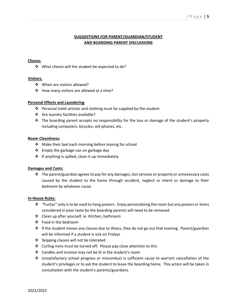### **SUGGESTIONS FOR PARENT/GUARDIAN/STUDENT AND BOARDING PARENT DISCUSSIONS**

#### **Chores:**

What chores will the student be expected to do?

#### **Visitors:**

- ❖ When are visitors allowed?
- How many visitors are allowed at a time?

#### **Personal Effects and Laundering**

- $\cdot \cdot$  Personal toilet articles and clothing must be supplied by the student
- ❖ Are laundry facilities available?
- $\div$  The boarding parent accepts no responsibility for the loss or damage of the student's property including computers, bicycles, cell phones, etc.

#### **Room Cleanliness:**

- ❖ Make their bed each morning before leaving for school
- $\triangleq$  Empty the garbage can on garbage day
- $\div$  If anything is spilled, clean it up immediately

#### **Damages and Costs:**

 $\cdot \cdot$  The parent/guardian agrees to pay for any damages, lost services or property or unnecessary costs caused by the student to the home through accident, neglect or intent or damage to their bedroom by whatever cause

#### **In-House Rules:**

- $\cdot \cdot$  "Funtac" only is to be used to hang posters. Enjoy personalizing the room but any posters or items considered in poor taste by the boarding parents will need to be removed
- Clean up after yourself, ie. Kitchen, bathroom
- Food in the bedroom
- $\div$  If the student misses any classes due to illness, they do not go out that evening. Parent/guardian will be informed if a student is sick on Fridays
- $\div$  Skipping classes will not be tolerated
- $\cdot$  Curling irons must be turned off. Please pay close attention to this
- Candles and incense may not be lit in the student's room
- Unsatisfactory school progress or misconduct is sufficient cause to warrant cancellation of the student's privileges or to ask the student to leave the boarding home. This action will be taken in consultation with the student's parents/guardians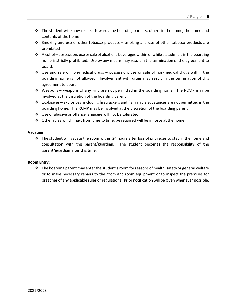- $\div$  The student will show respect towards the boarding parents, others in the home, the home and contents of the home
- $\cdot \cdot$  Smoking and use of other tobacco products smoking and use of other tobacco products are prohibited
- $\cdot \cdot$  Alcohol possession, use or sale of alcoholic beverages within or while a student is in the boarding home is strictly prohibited. Use by any means may result in the termination of the agreement to board.
- $\div$  Use and sale of non-medical drugs possession, use or sale of non-medical drugs within the boarding home is not allowed. Involvement with drugs may result in the termination of this agreement to board.
- Weapons weapons of any kind are not permitted in the boarding home. The RCMP may be involved at the discretion of the boarding parent
- $\div$  Explosives explosives, including firecrackers and flammable substances are not permitted in the boarding home. The RCMP may be involved at the discretion of the boarding parent
- Use of abusive or offence language will not be tolerated
- $\div$  Other rules which may, from time to time, be required will be in force at the home

#### **Vacating:**

 $\cdot \cdot$  The student will vacate the room within 24 hours after loss of privileges to stay in the home and consultation with the parent/guardian. The student becomes the responsibility of the parent/guardian after this time.

#### **Room Entry:**

 $\cdot \cdot$  The boarding parent may enter the student's room for reasons of health, safety or general welfare or to make necessary repairs to the room and room equipment or to inspect the premises for breaches of any applicable rules or regulations. Prior notification will be given whenever possible.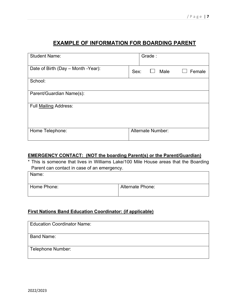## **EXAMPLE OF INFORMATION FOR BOARDING PARENT**

| <b>Student Name:</b>               | Grade:                   |
|------------------------------------|--------------------------|
| Date of Birth (Day - Month -Year): | Male<br>Female<br>Sex:   |
| School:                            |                          |
| Parent/Guardian Name(s):           |                          |
| Full Mailing Address:              |                          |
|                                    |                          |
| Home Telephone:                    | <b>Alternate Number:</b> |

## **EMERGENCY CONTACT: (NOT the boarding Parent(s) or the Parent/Guardian)**

|  | * This is someone that lives in Williams Lake/100 Mile House areas that the Boarding |  |  |  |  |  |  |
|--|--------------------------------------------------------------------------------------|--|--|--|--|--|--|
|  | Parent can contact in case of an emergency.                                          |  |  |  |  |  |  |

| Name:       |                         |
|-------------|-------------------------|
| Home Phone: | <b>Alternate Phone:</b> |

## **First Nations Band Education Coordinator: (if applicable)**

| <b>Education Coordinator Name:</b> |  |
|------------------------------------|--|
| <b>Band Name:</b>                  |  |
|                                    |  |
| Telephone Number:                  |  |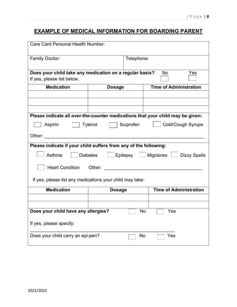# **EXAMPLE OF MEDICAL INFORMATION FOR BOARDING PARENT**

| <b>Care Card Personal Health Number:</b>                         |                                                |                                                                                |  |  |  |  |
|------------------------------------------------------------------|------------------------------------------------|--------------------------------------------------------------------------------|--|--|--|--|
| <b>Family Doctor:</b>                                            | Telephone:                                     |                                                                                |  |  |  |  |
| Does your child take any medication on a regular basis?          |                                                | <b>No</b><br>Yes                                                               |  |  |  |  |
| If yes, please list below.                                       |                                                |                                                                                |  |  |  |  |
| <b>Medication</b>                                                | <b>Dosage</b>                                  | <b>Time of Administration</b>                                                  |  |  |  |  |
|                                                                  |                                                |                                                                                |  |  |  |  |
|                                                                  |                                                |                                                                                |  |  |  |  |
|                                                                  |                                                |                                                                                |  |  |  |  |
|                                                                  |                                                | Please indicate all over-the-counter medications that your child may be given: |  |  |  |  |
| Aspirin                                                          | Ibuprofen<br>Tylenol                           | <b>Cold/Cough Syrups</b>                                                       |  |  |  |  |
|                                                                  |                                                |                                                                                |  |  |  |  |
| Please indicate if your child suffers from any of the following: |                                                |                                                                                |  |  |  |  |
| Asthma<br>Diabetes                                               |                                                |                                                                                |  |  |  |  |
| Heart Condition Other: Network of the Condition                  |                                                |                                                                                |  |  |  |  |
| If yes, please list any medications your child may take:         |                                                |                                                                                |  |  |  |  |
| <b>Medication</b>                                                | <b>Dosage</b>                                  | <b>Time of Administration</b>                                                  |  |  |  |  |
|                                                                  |                                                |                                                                                |  |  |  |  |
|                                                                  |                                                |                                                                                |  |  |  |  |
| Does your child have any allergies?<br><b>No</b><br>Yes          |                                                |                                                                                |  |  |  |  |
| If yes, please specify:                                          |                                                |                                                                                |  |  |  |  |
|                                                                  | Does your child carry an epi-pen?<br>Yes<br>No |                                                                                |  |  |  |  |